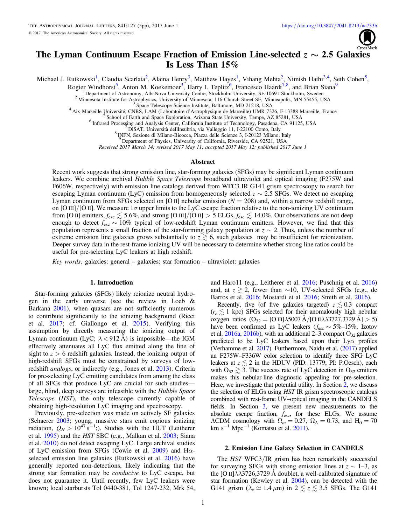

# <span id="page-0-0"></span>The Lyman Continuum Escape Fraction of Emission Line-selected  $z \sim 2.5$  Galaxies Is Less Than 15%

Michael J. Rutkowski<sup>1</sup>, Claudia Scarlata<sup>2</sup>, Alaina Henry<sup>3</sup>, Matthew Hayes<sup>1</sup>, Vihang Mehta<sup>2</sup>, Nimish Hathi<sup>3,4</sup>, Seth Cohen<sup>5</sup>,

Rogier Windhorst<sup>5</sup>, Anton M. Koekemoer<sup>3</sup>, Harry I. Teplitz<sup>6</sup>, Francesco Haardt<sup>7,8</sup>, and Brian Siana<sup>9</sup>

The art of Astronomy, AlbaNova University Centre, Stockholm University, SE-10691 Stockholm, Sweden<br>
2 Minnesota Institute for Astrophysics, University Centre, Stockholm University, SE-10691 Stockholm, Sweden<br>
<sup>3</sup> Space Tel

INFN, Sezione di Milano-Bicocca, Piazza delle Scienze 3, I-20123 Milano, Italy 9 Department of Physics, University of California, Riverside, CA 92521, USA

Received 2017 March 14; revised 2017 May 11; accepted 2017 May 12; published 2017 June 1

### Abstract

Recent work suggests that strong emission line, star-forming galaxies (SFGs) may be significant Lyman continuum leakers. We combine archival Hubble Space Telescope broadband ultraviolet and optical imaging (F275W and F606W, respectively) with emission line catalogs derived from WFC3 IR G141 grism spectroscopy to search for escaping Lyman continuum (LyC) emission from homogeneously selected  $z \sim 2.5$  SFGs. We detect no escaping Lyman continuum from SFGs selected on [O II] nebular emission ( $N = 208$ ) and, within a narrow redshift range, on [O III]/[O II]. We measure  $1\sigma$  upper limits to the LyC escape fraction relative to the non-ionizing UV continuum from [O II] emitters,  $f_{\rm esc} \lesssim 5.6\%$ , and strong [O III]/[O II] > 5 ELGs,  $f_{\rm esc} \lesssim 14.0\%$ . Our observations are not deep enough to detect  $f_{\text{esc}} \sim 10\%$  typical of low-redshift Lyman continuum emitters. However, we find that this population represents a small fraction of the star-forming galaxy population at  $z \sim 2$ . Thus, unless the number of extreme emission line galaxies grows substantially to  $z \gtrsim 6$ , such galaxies may be insufficient for reionization. Deeper survey data in the rest-frame ionizing UV will be necessary to determine whether strong line ratios could be useful for pre-selecting LyC leakers at high redshift.

Key words: galaxies: general – galaxies: star formation – ultraviolet: galaxies

## 1. Introduction

Star-forming galaxies (SFGs) likely reionize neutral hydrogen in the early universe (see the review in Loeb & Barkana [2001](#page-4-0)), when quasars are not sufficiently numerous to contribute significantly to the ionizing background (Ricci et al. [2017](#page-4-0); cf. Giallongo et al. [2015](#page-4-0)). Verifying this assumption by directly measuring the ionizing output of Lyman continuum (LyC;  $\lambda$  < 912 Å) is impossible—the IGM effectively attenuates all LyC flux emitted along the line of sight to  $z > 6$  redshift galaxies. Instead, the ionizing output of high-redshift SFGs must be constrained by surveys of lowredshift analogs, or indirectly (e.g., Jones et al. [2013](#page-4-0)). Criteria for pre-selecting LyC emitting candidates from among the class of all SFGs that produce LyC are crucial for such studies large, blind, deep surveys are infeasible with the Hubble Space Telescope (HST), the only telescope currently capable of obtaining high-resolution LyC imaging and spectroscopy.

Previously, pre-selection was made on actively SF galaxies (Schaerer [2003](#page-4-0); young, massive stars emit copious ionizing radiation,  $Q_H > 10^{47} \text{ s}^{-1}$ ;). Studies with the HUT (Leitherer et al. [1995](#page-4-0)) and the HST SBC (e.g., Malkan et al. [2003](#page-4-0); Siana et al. [2010](#page-4-0)) do not detect escaping LyC. Large archival studies of LyC emission from SFGs (Cowie et al. [2009](#page-4-0)) and H $\alpha$ selected emission line galaxies (Rutkowski et al. [2016](#page-4-0)) have generally reported non-detections, likely indicating that the strong star formation may be conducive to LyC escape, but does not guarantee it. Until recently, few LyC leakers were known; local starbursts Tol 0440-381, Tol 1247-232, Mrk 54,

and Haro11 (e.g., Leitherer et al. [2016;](#page-4-0) Puschnig et al. [2016](#page-4-0)) and, at  $z \ge 2$ , fewer than ∼10, UV-selected SFGs (e.g., de Barros et al. [2016;](#page-4-0) Mostardi et al. [2016;](#page-4-0) Smith et al. [2016](#page-4-0)).

Recently, five (of five galaxies targeted)  $z \lesssim 0.3$  compact  $(r_e \lesssim 1$  kpc) SFGs selected for their anomalously high nebular oxygen ratios  $(O_{32} = [O \text{ III}] \lambda 5007 \text{ A} / [O \text{ II} \lambda \lambda 3727,3729 \text{ A}] > 5)$ have been confirmed as LyC leakers ( $f_{\text{esc}} \sim 5\%$ –15%; Izotov et al.  $2016a$ ,  $2016b$ ), with an additional 2–3 compact  $O_{32}$  galaxies predicted to be LyC leakers based upon their  $Ly\alpha$  profiles (Verhamme et al. [2017](#page-4-0)). Furthermore, Naidu et al. ([2017](#page-4-0)) applied an F275W–F336W color selection to identify three SFG LyC leakers at  $z \lesssim 2$  in the HDUV (PID: 13779; PI: P.Oesch), each with  $O_{32} \gtrsim 3$ . The success rate of LyC detection in  $O_{32}$  emitters makes this nebular-line diagnostic appealing for pre-selection. Here, we investigate that potential utility. In Section 2, we discuss the selection of ELGs using HST IR grism spectroscopic catalogs combined with rest-frame UV–optical imaging in the CANDELS fields. In Section [3,](#page-1-0) we present new measurements to the absolute escape fraction,  $f_{\text{esc}}$ , for these ELGs. We assume  $\Lambda$ CDM cosmology with  $\Omega_m = 0.27$ ,  $\Omega_\Lambda = 0.73$ , and  $H_0 = 70$ km s<sup>−1</sup> Mpc<sup>−1</sup> (Komatsu et al. [2011](#page-4-0)).

# 2. Emission Line Galaxy Selection in CANDELS

The HST WFC3/IR grism has been remarkably successful for surveying SFGs with strong emission lines at  $z \sim 1-3$ , as the [O II] $\lambda$  $\lambda$ 3726,3729 Å doublet, a well-calibrated signature of star formation (Kewley et al. [2004](#page-4-0)), can be detected with the G141 grism ( $\lambda_c \simeq 1.4 \,\mu\text{m}$ ) in  $2 \lesssim z \lesssim 3.5$  SFGs. The G141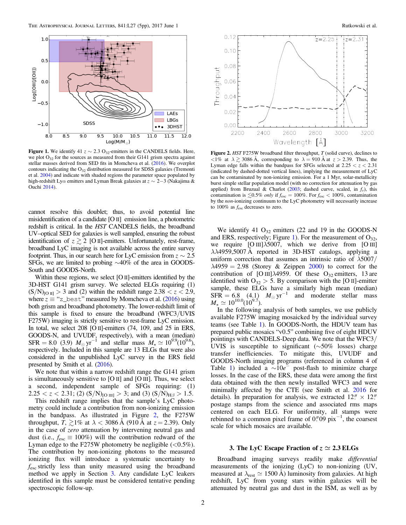<span id="page-1-0"></span>

Figure 1. We identify 41  $z \sim 2.3 \text{ O}_{32}$ -emitters in the CANDELS fields. Here, we plot  $O_{32}$  for the sources as measured from their G141 grism spectra against stellar masses derived from SED fits in Momcheva et al. ([2016](#page-4-0)). We overplot contours indicating the  $O_{32}$  distribution measured for SDSS galaxies (Tremonti et al. [2004](#page-4-0)) and indicate with shaded regions the parameter space populated by high-redshift Lyα emitters and Lyman Break galaxies at z ∼ 2−3 (Nakajima & Ouchi [2014](#page-4-0)).

cannot resolve this doublet; thus, to avoid potential line misidentification of a candidate [O II] emission line, a photometric redshift is critical. In the HST CANDELS fields, the broadband UV–optical SED for galaxies is well sampled, ensuring the robust identification of  $z \gtrsim 2$  [O II]-emitters. Unfortunately, rest-frame, broadband LyC imaging is not available across the entire survey footprint. Thus, in our search here for LyC emission from  $z \sim 2.5$ SFGs, we are limited to probing ∼40% of the area in GOODS-South and GOODS-North.

Within these regions, we select [O II]-emitters identified by the 3D-HST G141 grism survey. We selected ELGs requiring (1)  $(S/N)_{[O II]} > 3$  and (2) within the redshift range  $2.38 < z < 2.9$ , where  $z \equiv$  "z\_best" measured by Momcheva et al. ([2016](#page-4-0)) using both grism and broadband photometry. The lower-redshift limit of this sample is fixed to ensure the broadband (WFC3/UVIS F275W) imaging is strictly sensitive to rest-frame LyC emission. In total, we select 208 [O II]-emitters (74, 109, and 25 in ERS, GOODS-N, and UVUDF, respectively), with a mean (median) SFR = 8.0 (3.9)  $M_{\odot}$  yr<sup>-1</sup> and stellar mass  $M_{\star} \simeq 10^{9.9} (10^{9.6})$ , respectively. Included in this sample are 13 ELGs that were also considered in the unpublished LyC survey in the ERS field presented by Smith et al. ([2016](#page-4-0)).

We note that within a narrow redshift range the G141 grism is simultaneously sensitive to [O II] and [O III]. Thus, we select a second, independent sample of SFGs requiring: (1)  $2.25 < z < 2.31$ ; (2)  $(S/N)_{[O \text{ III}]}>3$ ; and (3)  $(S/N)_{H\beta} > 1.5$ .

This redshift range implies that the sample's LyC photometry could include a contribution from non-ionizing emission in the bandpass. As illustrated in Figure 2, the F275W throughput,  $T$ ,  $\gtrsim$ 1% at  $\lambda$  < 3086 Å (910 Å at  $z$  = 2.39). Only in the case of zero attenuation by intervening neutral gas and dust (i.e.,  $f_{\text{esc}} \equiv 100\%$ ) will the contribution redward of the Lyman edge to the F275W photometry be negligible  $(< 0.5\%)$ . The contribution by non-ionizing photons to the measured ionizing flux will introduce a systematic uncertainty to fesc strictly less than unity measured using the broadband method we apply in Section 3. Any candidate LyC leakers identified in this sample must be considered tentative pending spectroscopic follow-up.



Figure 2. HST F275W broadband filter throughput, T (solid curve), declines to  $\langle 1\% \text{ at } \lambda \geq 3086 \text{ Å}, \text{ corresponding to } \lambda = 910 \text{ Å at } z > 2.39. \text{ Thus, the}$ Lyman edge falls within the bandpass for SFGs selected at  $2.25 < z < 2.31$ (indicated by dashed-dotted vertical lines), implying the measurement of LyC can be contaminated by non-ionizing emission. For a 1 Myr, solar-metallicity burst simple stellar population model (with no correction for attenuation by gas applied) from Bruzual & Charlot ([2003](#page-4-0); dashed curve, scaled, in  $f_{\nu}$ ), this contamination is  $\lesssim 0.5\%$  only if  $f_{\text{esc}} = 100\%$ . For  $f_{\text{esc}} < 100\%$ , contamination by the non-ionizing continuum to the LyC photometry will necessarily increase to 100% as  $f_{\rm esc}$  decreases to zero.

We identify 41  $O_{32}$  emitters (22 and 19 in the GOODS-N and ERS, respectively; Figure 1). For the measurement of  $O_{32}$ , we require  $[O \text{ III}]\lambda 5007$ , which we derive from  $[O \text{ III}]$ λλ4959,5007 Å reported in 3D-HST catalogs, applying a uniform correction that assumes an intrinsic ratio of  $\lambda$ 5007/  $\lambda$ 4959 = 2.98 (Storey & Zeippen [2000](#page-4-0)) to correct for the contribution of [O III] $\lambda$ 4959. Of these O<sub>32</sub> emitters, 13 are identified with  $O_{32} > 5$ . By comparison with the [O II]-emitter sample, these ELGs have a similarly high mean (median)  $SFR = 6.8$  (4.1)  $M_{\odot} \text{ yr}^{-1}$  and moderate stellar mass  $M_{\star} \simeq 10^{10.0} (\dot{10}^{9.7}).$ 

In the following analysis of both samples, we use publicly available F275W imaging mosaicked by the individual survey teams (see Table [1](#page-2-0)). In GOODS-North, the HDUV team has prepared public mosaics "v0.5" combining five of eight HDUV pointings with CANDELS-Deep data. We note that the WFC3/ UVIS is susceptible to significant (∼50% losses) charge transfer inefficiencies. To mitigate this, UVUDF and GOODS-North imaging programs (referenced in column 4 of Table [1](#page-2-0)) included a  $\sim 10e^{\frac{3}{2}}$  post-flash to minimize charge losses. In the case of the ERS, these data were among the first data obtained with the then newly installed WFC3 and were minimally affected by the CTE (see Smith et al. [2016](#page-4-0) for details). In preparation for analysis, we extracted  $12'' \times 12''$ postage stamps from the science and associated rms maps centered on each ELG. For uniformity, all stamps were rebinned to a common pixel frame of  $0$ ".  $09$  pix<sup>-1</sup>, the coarsest scale for which mosaics are available.

# 3. The LyC Escape Fraction of  $z \approx 2.3$  ELGs

Broadband imaging surveys readily make differential measurements of the ionizing (LyC) to non-ionizing (UV, measured at  $\lambda_{\text{rest}} \simeq 1500 \text{ A}$ ) luminosity from galaxies. At high redshift, LyC from young stars within galaxies will be attenuated by neutral gas and dust in the ISM, as well as by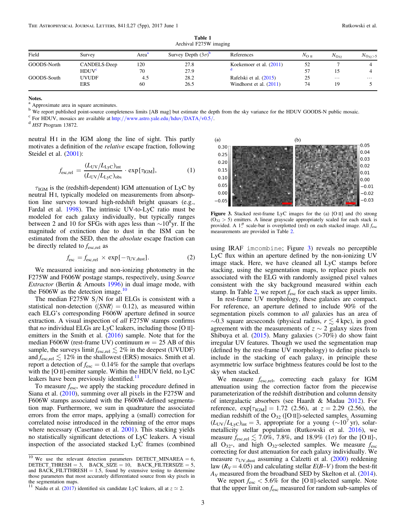<span id="page-2-0"></span>

| $1.00 \text{ m}$ and $1.21 \text{ m}$ manus $\text{m}$ |                   |                   |                                  |                           |                |              |                |  |  |  |
|--------------------------------------------------------|-------------------|-------------------|----------------------------------|---------------------------|----------------|--------------|----------------|--|--|--|
| Field                                                  | Survey            | Area <sup>a</sup> | Survey Depth $(3\sigma)^{\circ}$ | References                | $N_{\rm O~II}$ | $N_{O_{32}}$ | $N_{O_{32}>5}$ |  |  |  |
| GOODS-North                                            | CANDELS-Deep      | 120               | 27.8                             | Koekemoer et al. $(2011)$ | 52             |              |                |  |  |  |
|                                                        | HDUV <sup>c</sup> | 70                | 27.9                             |                           | 57             | 15           |                |  |  |  |
| GOODS-South                                            | <b>UVUDF</b>      | 4.5               | 28.2                             | Rafelski et al. (2015)    | 25             | $\cdots$     | $\cdots$       |  |  |  |
|                                                        | <b>ERS</b>        | 60                | 26.5                             | Windhorst et al. (2011)   | 74             | 19           |                |  |  |  |

Table 1 Archival F275W imaging

#### Notes.

Approximate area in square arcminutes.

<sup>b</sup> We report published point-source completeness limits [AB mag] but estimate the depth from the sky variance for the HDUV GOODS-N public mosaic.<br>
<sup>c</sup> For HDUV, mosaics are available at http://[www.astro.yale.edu](http://www.astro.yale.edu/hduv/DATA/v0.5/)/hduv/DAT

neutral H<sub>I</sub> in the IGM along the line of sight. This partly motivates a definition of the *relative* escape fraction, following Steidel et al. ([2001](#page-4-0)):

$$
f_{\text{esc,rel}} = \frac{(L_{\text{UV}}/L_{\text{LyC}})_{\text{int}}}{(L_{\text{UV}}/L_{\text{LyC}})_{\text{obs}}} \cdot \exp[\tau_{\text{IGM}}],\tag{1}
$$

 $\tau_{IGM}$  is the (redshift-dependent) IGM attenuation of LyC by neutral H I, typically modeled on measurements from absorption line surveys toward high-redshift bright quasars (e.g., Fardal et al. [1998](#page-4-0)). The intrinsic UV-to-LyC ratio must be modeled for each galaxy individually, but typically ranges between 2 and 10 for SFGs with ages less than  $\sim 10^8$ yr. If the magnitude of extinction due to dust in the ISM can be estimated from the SED, then the *absolute* escape fraction can be directly related to  $f_{\text{esc,rel}}$  as

$$
f_{\rm esc} = f_{\rm esc,rel} \times \exp[-\tau_{\rm UV,dust}]. \tag{2}
$$

We measured ionizing and non-ionizing photometry in the F275W and F606W postage stamps, respectively, using Source Extractor (Bertin & Arnouts [1996](#page-4-0)) in dual image mode, with the F606W as the detection image. $10$ 

The median  $F275W S/N$  for all ELGs is consistent with a statistical non-detection ( $\langle SNR \rangle = 0.12$ ), as measured within each ELG's corresponding F606W aperture defined in source extraction. A visual inspection of all F275W stamps confirms that no individual ELGs are LyC leakers, including those  $[O II]$ emitters in the Smith et al.  $(2016)$  $(2016)$  $(2016)$  sample. Note that for the median F606W (rest-frame UV) continuum  $m = 25$  AB of this sample, the surveys limit  $f_{\text{esc,rel}} \lesssim 2\%$  in the deepest (UVUDF) and  $f_{\text{esc,rel}} \lesssim 12\%$  in the shallowest (ERS) mosaics. Smith et al. report a detection of  $f_{\text{esc}} = 0.14\%$  for the sample that overlaps with the [O II]-emitter sample. Within the HDUV field, no LyC leakers have been previously identified. $<sup>11</sup>$ </sup>

To measure  $f_{\text{esc}}$ , we apply the stacking procedure defined in Siana et al. ([2010](#page-4-0)), summing over all pixels in the F275W and F606W stamps associated with the F606W-defined segmentation map. Furthermore, we sum in quadrature the associated errors from the error maps, applying a (small) correction for correlated noise introduced in the rebinning of the error maps where necessary (Casertano et al. [2001](#page-4-0)). This stacking yields no statistically significant detections of LyC leakers. A visual inspection of the associated stacked LyC frames (combined



Figure 3. Stacked rest-frame LyC images for the (a) [O II] and (b) strong  $(O_{32} > 5)$  emitters. A linear grayscale appropriately scaled for each stack is provided. A 1" scale-bar is overplotted (red) on each stacked image. All  $f_{\text{esc}}$ measurements are provided in Table [2](#page-3-0).

using IRAF imcombine; Figure 3) reveals no perceptible LyC flux within an aperture defined by the non-ionizing UV image stack. Here, we have cleaned all LyC stamps before stacking, using the segmentation maps, to replace pixels not associated with the ELG with randomly assigned pixel values consistent with the sky background measured within each stamp. In Table [2](#page-3-0), we report  $f_{\text{esc}}$  for each stack as upper limits.

In rest-frame UV morphology, these galaxies are compact. For reference, an aperture defined to include 90% of the segmentation pixels common to *all* galaxies has an area of  $\sim$ 0.3 square arcseconds (physical radius,  $r \leq 4$  kpc), in good agreement with the measurements of  $z \sim 2$  galaxy sizes from Shibuya et al.  $(2015)$  $(2015)$  $(2015)$ . Many galaxies (>70%) do show faint irregular UV features. Though we used the segmentation map (defined by the rest-frame UV morphology) to define pixels to include in the stacking of each galaxy, in principle these asymmetric low surface brightness features could be lost to the sky when stacked.

We measure  $f_{\text{esc,rel}}$ , correcting each galaxy for IGM attenuation using the correction factor from the piecewise parameterization of the redshift distribution and column density of intergalactic absorbers (see Haardt & Madau [2012](#page-4-0)). For reference,  $\exp[\tau_{IGM}] = 1.72$  (2.56), at  $z = 2.29$  (2.56), the median redshift of the  $O_{32}$  ([O II])-selected samples. Assuming  $(L_{UV}/L_{Lyc})_{int} = 3$ , appropriate for a young (∼10<sup>7</sup> yr), solarmetallicity stellar population (Rutkowski et al. [2016](#page-4-0)), we measure  $f_{\text{esc,rel}} \lesssim 7.0\%$ , 7.8%, and 18.9% (1 $\sigma$ ) for the [O II]-, all  $O_{32}$ -, and high  $O_{32}$ -selected samples. We measure  $f_{\text{esc}}$ correcting for dust attenuation for each galaxy individually. We measure  $\tau_{UV, dust}$  assuming a Calzetti et al. ([2000](#page-4-0)) reddening law ( $R_V = 4.05$ ) and calculating stellar  $E(B-V)$  from the best-fit  $A_V$  measured from the broadband SED by Skelton et al. ([2014](#page-4-0)).

We report  $f_{\text{esc}} < 5.6\%$  for the [O II]-selected sample. Note that the upper limit on  $f_{\text{esc}}$  measured for random sub-samples of

<sup>&</sup>lt;sup>10</sup> We use the relevant detection parameters DETECT\_MINAREA =  $6$ ,  $\text{DETECT\_THRESH} = 3$ ,  $\text{BACK\_SIZE} = 10$ ,  $\text{BACK\_FILE} = 5$ , and BACK\_FILTTHRESH  $= 1.5$ , found by extensive testing to determine those parameters that most accurately differentiated source from sky pixels in the segmentation maps.

<sup>&</sup>lt;sup>11</sup> Naidu et al. ([2017](#page-4-0)) identified six candidate LyC leakers, all at  $z \approx 2$ .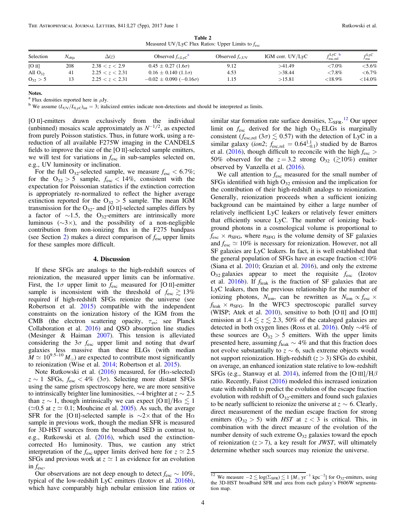Table 2 Measured UV/LyC Flux Ratios: Upper Limits to  $f_{\text{esc}}$ 

<span id="page-3-0"></span>

| Selection    | $N_{\text{obis}}$ | $\Delta(z)$     | Observed $f_{\nu, Lvc}^{\dagger}$   | Observed $f_{\nu \text{HV}}$ | IGM corr. $UV/LyC$ | $f$ LyC b<br>$J$ esc.rel | $f$ LyC<br>$\overline{\phantom{a}}$ esc |
|--------------|-------------------|-----------------|-------------------------------------|------------------------------|--------------------|--------------------------|-----------------------------------------|
| [O II]       | 208               | 2.38 < z < 2.9  | $0.45 \pm 0.27$ (1.6 $\sigma$ )     | 9.12                         | >41.49             | ${<}7.0\%$               | ${<}5.6\%$                              |
| All $O_{32}$ | 41                | 2.25 < z < 2.31 | $0.16 \pm 0.140$ (1.1 $\sigma$ )    | 4.53                         | >38.44             | ${<}7.8\%$               | ${<}6.7\%$                              |
| $O_{32} > 5$ |                   | 2.25 < z < 2.31 | $-0.02 \pm 0.090$ ( $-0.16\sigma$ ) | 1.15                         | >15.81             | ${<}18.9\%$              | ${<}14.0\%$                             |

Notes.

<sup>a</sup> Flux densities reported here in  $\mu$ Jy.<br><sup>b</sup> We assume (L<sub>UV</sub>/L<sub>LyC</sub>)<sub>int</sub> = 3; italicized entries indicate non-detections and should be interpreted as limits.

[O II]-emitters drawn exclusively from the individual (unbinned) mosaics scale approximately as  $N^{-1/2}$ , as expected from purely Poisson statistics. Thus, in future work, using a rereduction of all available F275W imaging in the CANDELS fields to improve the size of the [O II]-selected sample emitters, we will test for variations in  $f_{\rm esc}$  in sub-samples selected on, e.g., UV luminosity or inclination.

For the full O<sub>32</sub>-selected sample, we measure  $f_{\text{esc}} < 6.7\%$ ; for the  $O_{32} > 5$  sample,  $f_{\text{esc}} < 14\%$ , consistent with the expectation for Poissonian statistics if the extinction correction is appropriately re-normalized to reflect the higher average extinction reported for the  $O_{32} > 5$  sample. The mean IGM transmission for the  $O_{32}$ - and [O II]-selected samples differs by a factor of  $\sim$ 1.5, the O<sub>32</sub>-emitters are intrinsically more luminous  $(\sim 3 \times)$ , and the possibility of a non-negligible contribution from non-ionizing flux in the F275 bandpass (see Section [2](#page-0-0)) makes a direct comparison of  $f_{\text{esc}}$  upper limits for these samples more difficult.

# 4. Discussion

If these SFGs are analogs to the high-redshift sources of reionization, the measured upper limits can be informative. First, the  $1\sigma$  upper limit to  $f_{\text{esc}}$  measured for [O II]-emitter sample is inconsistent with the threshold of  $f_{\text{esc}} \geq 13\%$ required if high-redshift SFGs reionize the universe (see Robertson et al. [2015](#page-4-0)) compatible with the independent constraints on the ionization history of the IGM from the CMB (the electron scattering opacity,  $\tau_{es}$ ; see Planck Collaboration et al. [2016](#page-4-0)) and QSO absorption line studies (Mesinger & Haiman [2007](#page-4-0)). This tension is alleviated considering the  $3\sigma$   $f_{\text{esc}}$  upper limit and noting that dwarf galaxies less massive than these ELGs (with median  $M \simeq 10^{9.5-10} M_{\odot}$ ) are expected to contribute most significantly to reionization (Wise et al. [2014](#page-4-0); Robertson et al. [2015](#page-4-0)).

Note Rutkowski et al. ([2016](#page-4-0)) measured, for (H $\alpha$ -selected)  $z \sim 1$  SFGs,  $f_{\rm esc} < 4\%$  (3 $\sigma$ ). Selecting more distant SFGs using the same grism spectroscopy here, we are more sensitive to intrinsically brighter line luminosities,  $\sim$ 4 brighter at  $z \sim 2.5$ than  $z \sim 1$ , though intrinsically we can expect [O II]/H $\alpha \lesssim 1$ ( $\approx$ 0.5 at  $z \approx$  0.1; Mouhcine et al. [2005](#page-4-0)). As such, the average SFR for the [O II]-selected sample is  $\sim$ 2× that of the H $\alpha$ sample in previous work, though the median SFR is measured for 3D-HST sources from the broadband SED in contrast to, e.g., Rutkowski et al. ([2016](#page-4-0)), which used the extinctioncorrected H $\alpha$  luminosity. Thus, we caution any strict interpretation of the  $f_{\text{esc}}$  upper limits derived here for  $z \approx 2.5$ SFGs and previous work at  $z \approx 1$  as evidence for an evolution in  $f_{\text{esc}}$ .

Our observations are not deep enough to detect  $f_{\text{esc}} \sim 10\%$ , typical of the low-redshift LyC emitters (Izotov et al. [2016b](#page-4-0)), which have comparably high nebular emission line ratios or

similar star formation rate surface densities,  $\Sigma_{\rm SFR}$ .<sup>12</sup> Our upper limit on  $f_{\text{esc}}$  derived for the high  $O_{32}$  ELGs is marginally consistent ( $f_{\text{esc,rel}}$  (3 $\sigma$ )  $\lesssim$  0.57) with the detection of LyC in a similar galaxy (*ion*2;  $f_{\text{esc,rel}} = 0.64_{-0.1}^{1.1}$ ) studied by de Barros et al. ([2016](#page-4-0)), though difficult to reconcile with the high  $f_{\text{esc}}$  > 50% observed for the  $z = 3.2$  strong  $O_{32}$  ( $\gtrsim 10\%$ ) emitter observed by Vanzella et al. ([2016](#page-4-0)).

We call attention to  $f_{\text{esc}}$  measured for the small number of SFGs identified with high  $O_{32}$  emission and the implication for the contribution of their high-redshift analogs to reionization. Generally, reionization proceeds when a sufficient ionizing background can be maintained by either a large number of relatively inefficient LyC leakers or relatively fewer emitters that efficiently source LyC. The number of ionizing background photons in a cosmological volume is proportional to  $f_{\text{esc}} \times n_{\text{SFG}}$ , where  $n_{\text{SFG}}$  is the volume density of SF galaxies and  $f_{\text{esc}} \simeq 10\%$  is necessary for reionization. However, not all SF galaxies are LyC leakers. In fact, it is well established that the general population of SFGs have an escape fraction  $\ll 10\%$ (Siana et al. [2010;](#page-4-0) Grazian et al. [2016](#page-4-0)), and only the extreme  $O_{32}$  galaxies appear to meet the requisite  $f_{\rm esc}$  (Izotov et al.  $2016b$ ). If  $f_{\text{leak}}$  is the fraction of SF galaxies that are LyC leakers, then the previous relationship for the number of ionizing photons,  $N_{\text{ion}}$ , can be rewritten as  $N_{\text{ion}} \propto f_{\text{esc}} \times$  $f_{\text{leak}} \times n_{\text{SFG}}$ . In the WFC3 spectroscopic parallel survey (WISP; Atek et al.  $2010$ ), sensitive to both [O II] and [O III] emission at  $1.4 \le z \le 2.3$ , 50% of the cataloged galaxies are detected in both oxygen lines (Ross et al. [2016](#page-4-0)). Only ∼4% of these sources are  $O_{32} > 5$  emitters. With the upper limits presented here, assuming  $f_{\text{leak}} \sim 4\%$  and that this fraction does not evolve substantially to  $z \sim 6$ , such extreme objects would not support reionization. High-redshift  $(z > 3)$  SFGs do exhibit, on average, an enhanced ionization state relative to low-redshift SFGs (e.g., Stanway et al. [2014](#page-4-0)), inferred from the [O III]/H $\beta$ ratio. Recently, Faisst ([2016](#page-4-0)) modeled this increased ionization state with redshift to predict the evolution of the escape fraction evolution with redshift of  $O_{32}$ -emitters and found such galaxies to be nearly sufficient to reionize the universe at  $z \sim 6$ . Clearly, direct measurement of the median escape fraction for strong emitters  $(0_{32} > 5)$  with HST at  $z < 3$  is critical. This, in combination with the direct measure of the evolution of the number density of such extreme  $O_{32}$  galaxies toward the epoch of reionization  $(z > 7)$ , a key result for *JWST*, will ultimately determine whether such sources may reionize the universe.

<sup>&</sup>lt;sup>12</sup> We measure  $-2 \lesssim \log(\Sigma_{\rm SFR}) \lesssim 1$  [M<sub>☉</sub> yr<sup>-1</sup> kpc<sup>-2</sup>] for O<sub>32</sub>-emitters, using the 3D-HST broadband SFR and area from each galaxy's F606W segmentation map.